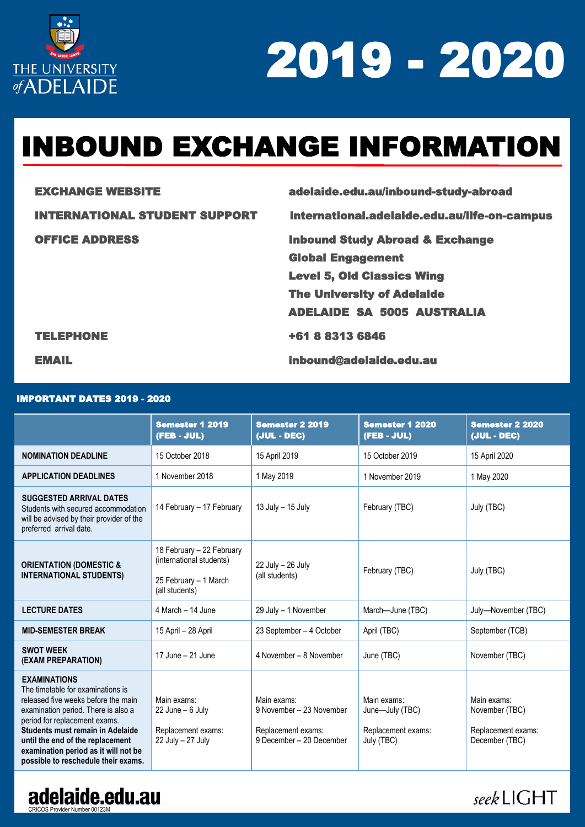

# INBOUND EXCHANGE INFORMATION

EXCHANGE WEBSITE adelaide.edu.au/inbound-study-abroad

INTERNATIONAL STUDENT SUPPORT [international.adelaide.edu.au/life-on-campus](https://international.adelaide.edu.au/life-on-campus) 

OFFICE ADDRESS **Inbound Study Abroad & Exchange**  Global Engagement Level 5, Old Classics Wing The University of Adelaide ADELAIDE SA 5005 AUSTRALIA

#### TELEPHONE +61 8 8313 6846

EMAIL inbound@adelaide.edu.au

### IMPORTANT DATES 2019 - 2020

|                                                                                                                                                                                                                                                                                                                                | <b>Semester 1 2019</b><br>(FEB - JUL)                                                            | <b>Semester 2 2019</b><br>(JUL - DEC)                                                     | <b>Semester 1 2020</b><br>(FEB - JUL)                              | <b>Semester 2 2020</b><br>(JUL - DEC)                                 |
|--------------------------------------------------------------------------------------------------------------------------------------------------------------------------------------------------------------------------------------------------------------------------------------------------------------------------------|--------------------------------------------------------------------------------------------------|-------------------------------------------------------------------------------------------|--------------------------------------------------------------------|-----------------------------------------------------------------------|
| <b>NOMINATION DEADLINE</b>                                                                                                                                                                                                                                                                                                     | 15 October 2018                                                                                  | 15 April 2019                                                                             | 15 October 2019                                                    | 15 April 2020                                                         |
| <b>APPLICATION DEADLINES</b>                                                                                                                                                                                                                                                                                                   | 1 November 2018                                                                                  | 1 May 2019                                                                                | 1 November 2019                                                    | 1 May 2020                                                            |
| <b>SUGGESTED ARRIVAL DATES</b><br>Students with secured accommodation<br>will be advised by their provider of the<br>preferred arrival date.                                                                                                                                                                                   | 14 February - 17 February                                                                        | 13 July - 15 July                                                                         | February (TBC)                                                     | July (TBC)                                                            |
| <b>ORIENTATION (DOMESTIC &amp;</b><br><b>INTERNATIONAL STUDENTS)</b>                                                                                                                                                                                                                                                           | 18 February - 22 February<br>(international students)<br>25 February - 1 March<br>(all students) | 22 July - 26 July<br>(all students)                                                       | February (TBC)                                                     | July (TBC)                                                            |
| <b>LECTURE DATES</b>                                                                                                                                                                                                                                                                                                           | 4 March - 14 June                                                                                | 29 July - 1 November                                                                      | March-June (TBC)                                                   | July-November (TBC)                                                   |
| <b>MID-SEMESTER BREAK</b>                                                                                                                                                                                                                                                                                                      | 15 April - 28 April                                                                              | 23 September - 4 October                                                                  | April (TBC)                                                        | September (TCB)                                                       |
| <b>SWOT WEEK</b><br>(EXAM PREPARATION)                                                                                                                                                                                                                                                                                         | 17 June - 21 June                                                                                | 4 November - 8 November                                                                   | June (TBC)                                                         | November (TBC)                                                        |
| <b>EXAMINATIONS</b><br>The timetable for examinations is<br>released five weeks before the main<br>examination period. There is also a<br>period for replacement exams.<br>Students must remain in Adelaide<br>until the end of the replacement<br>examination period as it will not be<br>possible to reschedule their exams. | Main exams:<br>$22$ June $-6$ July<br>Replacement exams:<br>22 July - 27 July                    | Main exams:<br>9 November - 23 November<br>Replacement exams:<br>9 December - 20 December | Main exams:<br>June-July (TBC)<br>Replacement exams:<br>July (TBC) | Main exams:<br>November (TBC)<br>Replacement exams:<br>December (TBC) |



### seekLIGHT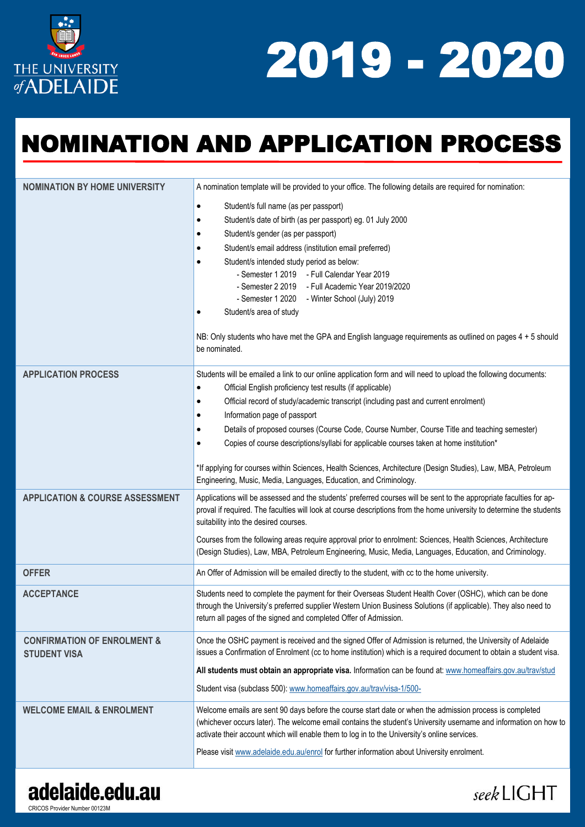

seekLIGHT

## NOMINATION AND APPLICATION PROCESS

| <b>NOMINATION BY HOME UNIVERSITY</b>                          | A nomination template will be provided to your office. The following details are required for nomination:                                                                                                                                                                                                                                                                                                                                                                                                                                                                                                                                                                                                   |
|---------------------------------------------------------------|-------------------------------------------------------------------------------------------------------------------------------------------------------------------------------------------------------------------------------------------------------------------------------------------------------------------------------------------------------------------------------------------------------------------------------------------------------------------------------------------------------------------------------------------------------------------------------------------------------------------------------------------------------------------------------------------------------------|
|                                                               | Student/s full name (as per passport)<br>$\bullet$<br>Student/s date of birth (as per passport) eg. 01 July 2000<br>٠<br>Student/s gender (as per passport)<br>٠<br>Student/s email address (institution email preferred)<br>٠<br>Student/s intended study period as below:<br>- Semester 1 2019 - Full Calendar Year 2019<br>- Semester 2 2019 - Full Academic Year 2019/2020<br>- Semester 1 2020 - Winter School (July) 2019<br>Student/s area of study<br>NB: Only students who have met the GPA and English language requirements as outlined on pages 4 + 5 should<br>be nominated.                                                                                                                   |
| <b>APPLICATION PROCESS</b>                                    | Students will be emailed a link to our online application form and will need to upload the following documents:<br>Official English proficiency test results (if applicable)<br>Official record of study/academic transcript (including past and current enrolment)<br>$\bullet$<br>Information page of passport<br>٠<br>Details of proposed courses (Course Code, Course Number, Course Title and teaching semester)<br>٠<br>Copies of course descriptions/syllabi for applicable courses taken at home institution*<br>*If applying for courses within Sciences, Health Sciences, Architecture (Design Studies), Law, MBA, Petroleum<br>Engineering, Music, Media, Languages, Education, and Criminology. |
| <b>APPLICATION &amp; COURSE ASSESSMENT</b>                    | Applications will be assessed and the students' preferred courses will be sent to the appropriate faculties for ap-<br>proval if required. The faculties will look at course descriptions from the home university to determine the students<br>suitability into the desired courses.<br>Courses from the following areas require approval prior to enrolment: Sciences, Health Sciences, Architecture<br>(Design Studies), Law, MBA, Petroleum Engineering, Music, Media, Languages, Education, and Criminology.                                                                                                                                                                                           |
| <b>OFFER</b>                                                  | An Offer of Admission will be emailed directly to the student, with cc to the home university.                                                                                                                                                                                                                                                                                                                                                                                                                                                                                                                                                                                                              |
| <b>ACCEPTANCE</b>                                             | Students need to complete the payment for their Overseas Student Health Cover (OSHC), which can be done<br>through the University's preferred supplier Western Union Business Solutions (if applicable). They also need to<br>return all pages of the signed and completed Offer of Admission.                                                                                                                                                                                                                                                                                                                                                                                                              |
| <b>CONFIRMATION OF ENROLMENT &amp;</b><br><b>STUDENT VISA</b> | Once the OSHC payment is received and the signed Offer of Admission is returned, the University of Adelaide<br>issues a Confirmation of Enrolment (cc to home institution) which is a required document to obtain a student visa.<br>All students must obtain an appropriate visa. Information can be found at: www.homeaffairs.gov.au/trav/stud<br>Student visa (subclass 500): www.homeaffairs.gov.au/trav/visa-1/500-                                                                                                                                                                                                                                                                                    |
| <b>WELCOME EMAIL &amp; ENROLMENT</b>                          | Welcome emails are sent 90 days before the course start date or when the admission process is completed<br>(whichever occurs later). The welcome email contains the student's University username and information on how to<br>activate their account which will enable them to log in to the University's online services.<br>Please visit www.adelaide.edu.au/enrol for further information about University enrolment.                                                                                                                                                                                                                                                                                   |
|                                                               |                                                                                                                                                                                                                                                                                                                                                                                                                                                                                                                                                                                                                                                                                                             |

## adelaide.edu.au

CRICOS Provider Number 00123M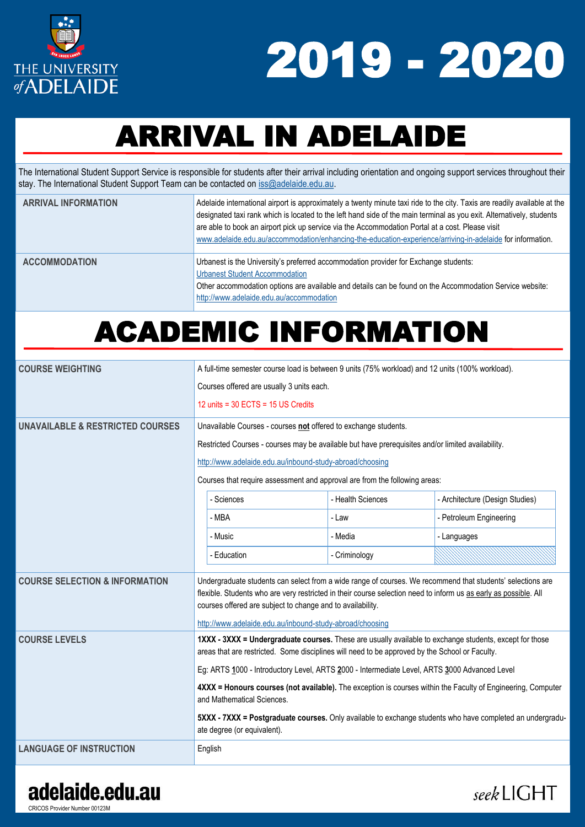

seekLIGHT

# ARRIVAL IN ADELAIDE

The International Student Support Service is responsible for students after their arrival including orientation and ongoing support services throughout their stay. The International Student Support Team can be contacted on [iss@adelaide.edu.au.](mailto:iss@adelaide.edu.au)

| <b>ARRIVAL INFORMATION</b> | Adelaide international airport is approximately a twenty minute taxi ride to the city. Taxis are readily available at the<br>designated taxi rank which is located to the left hand side of the main terminal as you exit. Alternatively, students<br>are able to book an airport pick up service via the Accommodation Portal at a cost. Please visit<br>www.adelaide.edu.au/accommodation/enhancing-the-education-experience/arriving-in-adelaide for information. |
|----------------------------|----------------------------------------------------------------------------------------------------------------------------------------------------------------------------------------------------------------------------------------------------------------------------------------------------------------------------------------------------------------------------------------------------------------------------------------------------------------------|
| <b>ACCOMMODATION</b>       | Urbanest is the University's preferred accommodation provider for Exchange students:<br><b>Urbanest Student Accommodation</b><br>Other accommodation options are available and details can be found on the Accommodation Service website:<br>http://www.adelaide.edu.au/accommodation                                                                                                                                                                                |

## ACADEMIC INFORMATION

| <b>COURSE WEIGHTING</b>                     | A full-time semester course load is between 9 units (75% workload) and 12 units (100% workload).                                           |                                                                                                |                                                                                                                                                                                                                                |
|---------------------------------------------|--------------------------------------------------------------------------------------------------------------------------------------------|------------------------------------------------------------------------------------------------|--------------------------------------------------------------------------------------------------------------------------------------------------------------------------------------------------------------------------------|
|                                             | Courses offered are usually 3 units each.                                                                                                  |                                                                                                |                                                                                                                                                                                                                                |
|                                             | 12 units = $30$ ECTS = $15$ US Credits                                                                                                     |                                                                                                |                                                                                                                                                                                                                                |
| <b>UNAVAILABLE &amp; RESTRICTED COURSES</b> | Unavailable Courses - courses not offered to exchange students.                                                                            |                                                                                                |                                                                                                                                                                                                                                |
|                                             | Restricted Courses - courses may be available but have prerequisites and/or limited availability.                                          |                                                                                                |                                                                                                                                                                                                                                |
|                                             | http://www.adelaide.edu.au/inbound-study-abroad/choosing                                                                                   |                                                                                                |                                                                                                                                                                                                                                |
|                                             | Courses that require assessment and approval are from the following areas:                                                                 |                                                                                                |                                                                                                                                                                                                                                |
|                                             | - Sciences                                                                                                                                 | - Health Sciences                                                                              | - Architecture (Design Studies)                                                                                                                                                                                                |
|                                             | - MBA                                                                                                                                      | - Law                                                                                          | - Petroleum Engineering                                                                                                                                                                                                        |
|                                             | - Music                                                                                                                                    | - Media                                                                                        | - Languages                                                                                                                                                                                                                    |
|                                             | - Education                                                                                                                                | - Criminology                                                                                  |                                                                                                                                                                                                                                |
| <b>COURSE SELECTION &amp; INFORMATION</b>   | courses offered are subject to change and to availability.                                                                                 |                                                                                                | Undergraduate students can select from a wide range of courses. We recommend that students' selections are<br>flexible. Students who are very restricted in their course selection need to inform us as early as possible. All |
|                                             | http://www.adelaide.edu.au/inbound-study-abroad/choosing                                                                                   |                                                                                                |                                                                                                                                                                                                                                |
| <b>COURSE LEVELS</b>                        |                                                                                                                                            | areas that are restricted. Some disciplines will need to be approved by the School or Faculty. | 1XXX - 3XXX = Undergraduate courses. These are usually available to exchange students, except for those                                                                                                                        |
|                                             | Eg: ARTS 1000 - Introductory Level, ARTS 2000 - Intermediate Level, ARTS 3000 Advanced Level                                               |                                                                                                |                                                                                                                                                                                                                                |
|                                             | 4XXX = Honours courses (not available). The exception is courses within the Faculty of Engineering, Computer<br>and Mathematical Sciences. |                                                                                                |                                                                                                                                                                                                                                |
|                                             | ate degree (or equivalent).                                                                                                                |                                                                                                | 5XXX - 7XXX = Postgraduate courses. Only available to exchange students who have completed an undergradu-                                                                                                                      |
| <b>LANGUAGE OF INSTRUCTION</b>              | English                                                                                                                                    |                                                                                                |                                                                                                                                                                                                                                |

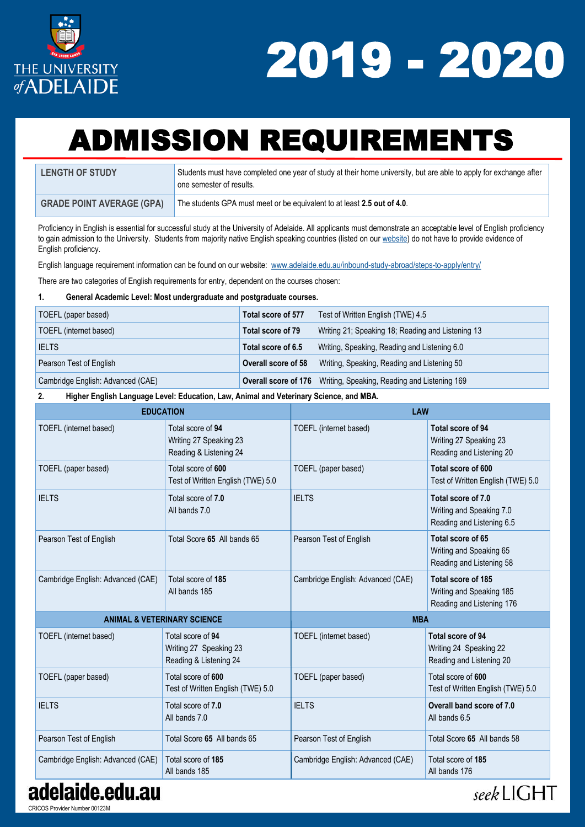

# ADMISSION REQUIREMENTS

| <b>LENGTH OF STUDY</b>           | Students must have completed one year of study at their home university, but are able to apply for exchange after<br>one semester of results. |
|----------------------------------|-----------------------------------------------------------------------------------------------------------------------------------------------|
| <b>GRADE POINT AVERAGE (GPA)</b> | The students GPA must meet or be equivalent to at least 2.5 out of 4.0.                                                                       |

Proficiency in English is essential for successful study at the University of Adelaide. All applicants must demonstrate an acceptable level of English proficiency to gain admission to the University. Students from majority native English speaking countries (listed on our [website\)](https://www.adelaide.edu.au/inbound-study-abroad/steps-to-apply/entry/) do not have to provide evidence of English proficiency.

English language requirement information can be found on our website: [www.adelaide.edu.au/inbound-study-abroad/steps-to-apply/entry/](https://www.adelaide.edu.au/inbound-study-abroad/steps-to-apply/entry/)

There are two categories of English requirements for entry, dependent on the courses chosen:

#### **1. General Academic Level: Most undergraduate and postgraduate courses.**

| TOEFL (paper based)               | Total score of 577  | Test of Written English (TWE) 4.5                                        |
|-----------------------------------|---------------------|--------------------------------------------------------------------------|
| TOEFL (internet based)            | Total score of 79   | Writing 21; Speaking 18; Reading and Listening 13                        |
| <b>IELTS</b>                      | Total score of 6.5  | Writing, Speaking, Reading and Listening 6.0                             |
| Pearson Test of English           | Overall score of 58 | Writing, Speaking, Reading and Listening 50                              |
| Cambridge English: Advanced (CAE) |                     | <b>Overall score of 176</b> Writing, Speaking, Reading and Listening 169 |

#### **2. Higher English Language Level: Education, Law, Animal and Veterinary Science, and MBA.**

| <b>EDUCATION</b>                  |                                                                       | LAW                               |                                                                             |  |
|-----------------------------------|-----------------------------------------------------------------------|-----------------------------------|-----------------------------------------------------------------------------|--|
| TOEFL (internet based)            | Total score of 94<br>Writing 27 Speaking 23<br>Reading & Listening 24 | TOEFL (internet based)            | Total score of 94<br>Writing 27 Speaking 23<br>Reading and Listening 20     |  |
| TOEFL (paper based)               | Total score of 600<br>Test of Written English (TWE) 5.0               | TOEFL (paper based)               | Total score of 600<br>Test of Written English (TWE) 5.0                     |  |
| <b>IELTS</b>                      | Total score of 7.0<br>All bands 7.0                                   | <b>IELTS</b>                      | Total score of 7.0<br>Writing and Speaking 7.0<br>Reading and Listening 6.5 |  |
| Pearson Test of English           | Total Score 65 All bands 65                                           | Pearson Test of English           | Total score of 65<br>Writing and Speaking 65<br>Reading and Listening 58    |  |
| Cambridge English: Advanced (CAE) | Total score of 185<br>All bands 185                                   | Cambridge English: Advanced (CAE) | Total score of 185<br>Writing and Speaking 185<br>Reading and Listening 176 |  |
|                                   | <b>ANIMAL &amp; VETERINARY SCIENCE</b>                                | <b>MBA</b>                        |                                                                             |  |
| TOEFL (internet based)            | Total score of 94<br>Writing 27 Speaking 23<br>Reading & Listening 24 | TOEFL (internet based)            | Total score of 94<br>Writing 24 Speaking 22<br>Reading and Listening 20     |  |
| TOEFL (paper based)               | Total score of 600<br>Test of Written English (TWE) 5.0               | TOEFL (paper based)               | Total score of 600<br>Test of Written English (TWE) 5.0                     |  |
| <b>IELTS</b>                      | Total score of 7.0<br>All bands 7.0                                   | <b>IELTS</b>                      | Overall band score of 7.0<br>All bands 6.5                                  |  |
| Pearson Test of English           | Total Score 65 All bands 65                                           | Pearson Test of English           | Total Score 65 All bands 58                                                 |  |
| Cambridge English: Advanced (CAE) | Total score of 185<br>All bands 185                                   | Cambridge English: Advanced (CAE) | Total score of 185<br>All bands 176                                         |  |